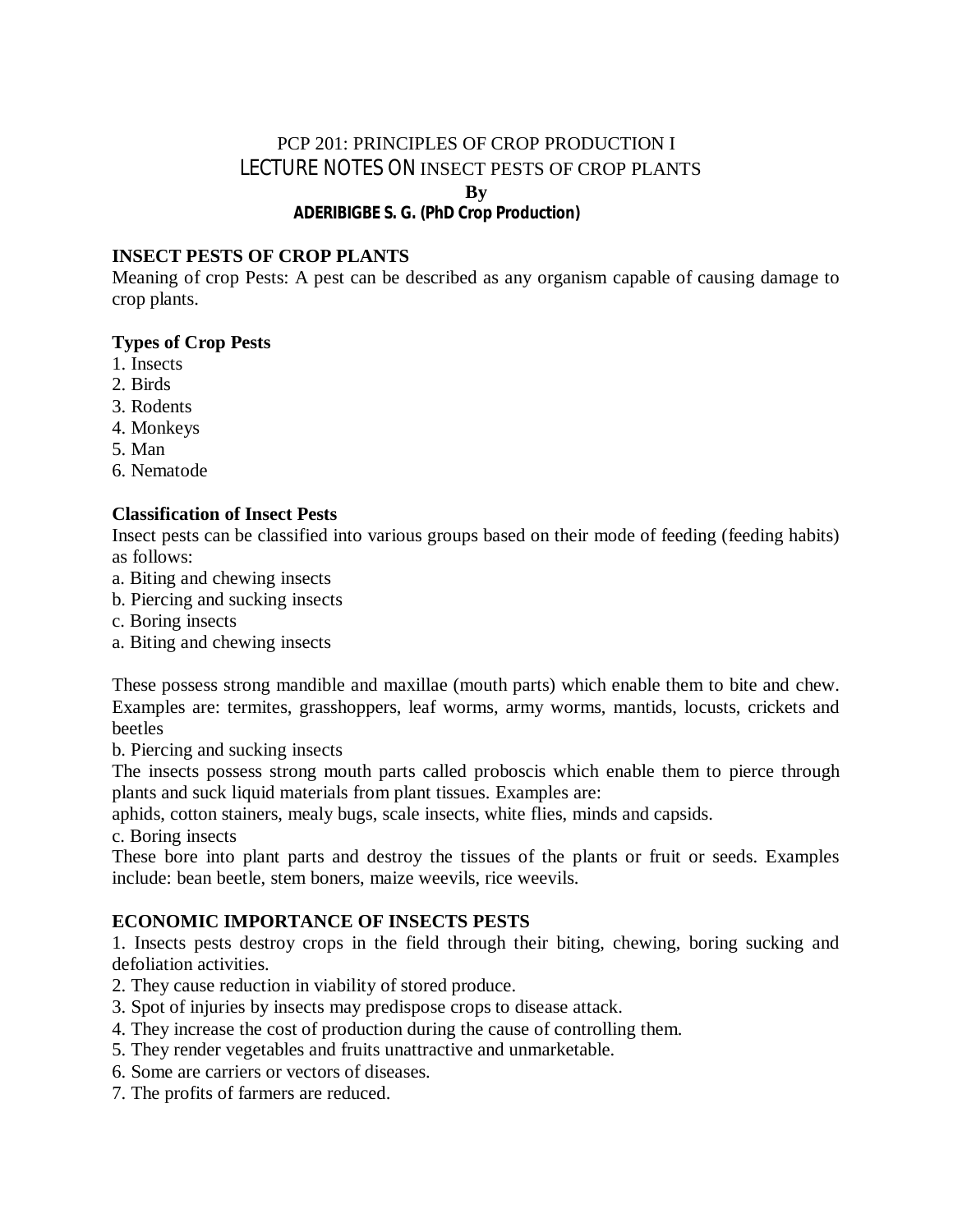# PCP 201: PRINCIPLES OF CROP PRODUCTION I LECTURE NOTES ON INSECT PESTS OF CROP PLANTS

**By**

# **ADERIBIGBE S. G. (PhD Crop Production)**

### **INSECT PESTS OF CROP PLANTS**

Meaning of crop Pests: A pest can be described as any organism capable of causing damage to crop plants.

#### **Types of Crop Pests**

- 1. Insects
- 2. Birds
- 3. Rodents
- 4. Monkeys
- 5. Man
- 6. Nematode

#### **Classification of Insect Pests**

Insect pests can be classified into various groups based on their mode of feeding (feeding habits) as follows:

- a. Biting and chewing insects
- b. Piercing and sucking insects
- c. Boring insects
- a. Biting and chewing insects

These possess strong mandible and maxillae (mouth parts) which enable them to bite and chew. Examples are: termites, grasshoppers, leaf worms, army worms, mantids, locusts, crickets and beetles

b. Piercing and sucking insects

The insects possess strong mouth parts called proboscis which enable them to pierce through plants and suck liquid materials from plant tissues. Examples are:

aphids, cotton stainers, mealy bugs, scale insects, white flies, minds and capsids.

c. Boring insects

These bore into plant parts and destroy the tissues of the plants or fruit or seeds. Examples include: bean beetle, stem boners, maize weevils, rice weevils.

#### **ECONOMIC IMPORTANCE OF INSECTS PESTS**

1. Insects pests destroy crops in the field through their biting, chewing, boring sucking and defoliation activities.

- 2. They cause reduction in viability of stored produce.
- 3. Spot of injuries by insects may predispose crops to disease attack.
- 4. They increase the cost of production during the cause of controlling them.
- 5. They render vegetables and fruits unattractive and unmarketable.
- 6. Some are carriers or vectors of diseases.
- 7. The profits of farmers are reduced.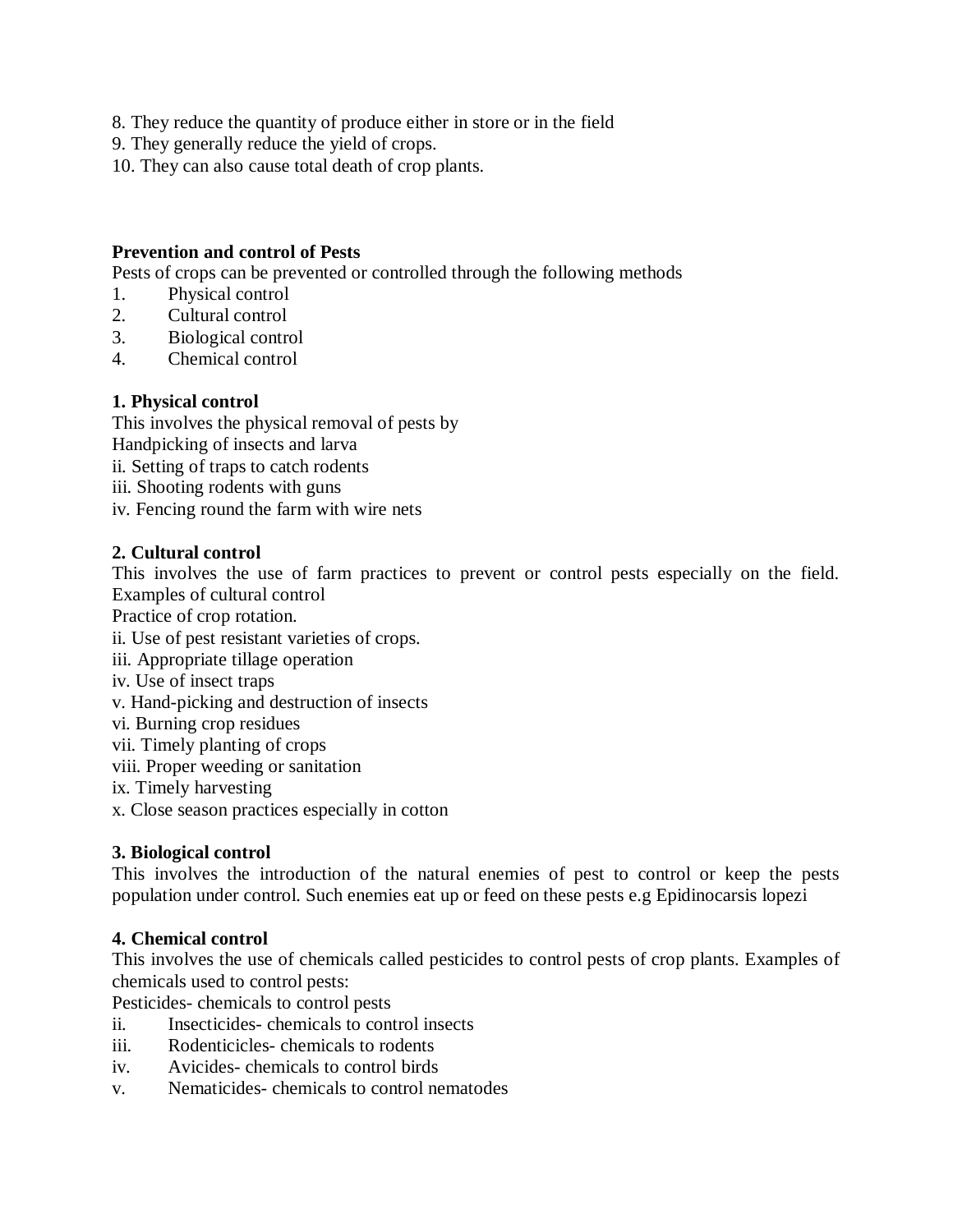- 8. They reduce the quantity of produce either in store or in the field
- 9. They generally reduce the yield of crops.
- 10. They can also cause total death of crop plants.

### **Prevention and control of Pests**

Pests of crops can be prevented or controlled through the following methods

- 1. Physical control
- 2. Cultural control
- 3. Biological control
- 4. Chemical control

### **1. Physical control**

This involves the physical removal of pests by Handpicking of insects and larva

- ii. Setting of traps to catch rodents
- iii. Shooting rodents with guns
- iv. Fencing round the farm with wire nets

### **2. Cultural control**

This involves the use of farm practices to prevent or control pests especially on the field. Examples of cultural control

Practice of crop rotation.

- ii. Use of pest resistant varieties of crops.
- iii. Appropriate tillage operation
- iv. Use of insect traps
- v. Hand-picking and destruction of insects
- vi. Burning crop residues
- vii. Timely planting of crops
- viii. Proper weeding or sanitation

ix. Timely harvesting

x. Close season practices especially in cotton

#### **3. Biological control**

This involves the introduction of the natural enemies of pest to control or keep the pests population under control. Such enemies eat up or feed on these pests e.g Epidinocarsis lopezi

#### **4. Chemical control**

This involves the use of chemicals called pesticides to control pests of crop plants. Examples of chemicals used to control pests:

Pesticides- chemicals to control pests

- ii. Insecticides- chemicals to control insects
- iii. Rodenticicles- chemicals to rodents
- iv. Avicides- chemicals to control birds
- v. Nematicides- chemicals to control nematodes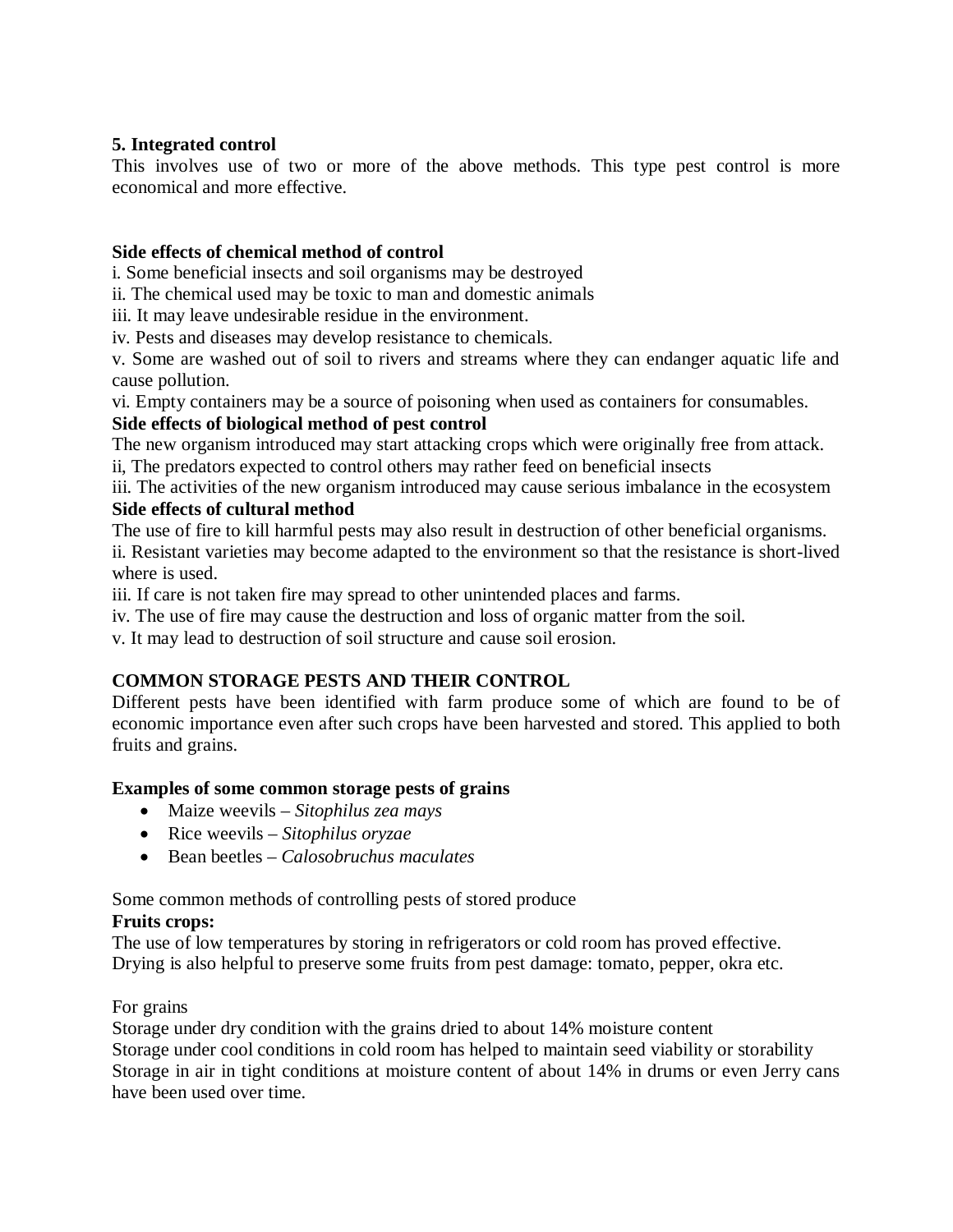### **5. Integrated control**

This involves use of two or more of the above methods. This type pest control is more economical and more effective.

#### **Side effects of chemical method of control**

i. Some beneficial insects and soil organisms may be destroyed

ii. The chemical used may be toxic to man and domestic animals

iii. It may leave undesirable residue in the environment.

iv. Pests and diseases may develop resistance to chemicals.

v. Some are washed out of soil to rivers and streams where they can endanger aquatic life and cause pollution.

vi. Empty containers may be a source of poisoning when used as containers for consumables.

### **Side effects of biological method of pest control**

The new organism introduced may start attacking crops which were originally free from attack.

ii, The predators expected to control others may rather feed on beneficial insects

iii. The activities of the new organism introduced may cause serious imbalance in the ecosystem **Side effects of cultural method**

The use of fire to kill harmful pests may also result in destruction of other beneficial organisms. ii. Resistant varieties may become adapted to the environment so that the resistance is short-lived where is used.

iii. If care is not taken fire may spread to other unintended places and farms.

iv. The use of fire may cause the destruction and loss of organic matter from the soil.

v. It may lead to destruction of soil structure and cause soil erosion.

# **COMMON STORAGE PESTS AND THEIR CONTROL**

Different pests have been identified with farm produce some of which are found to be of economic importance even after such crops have been harvested and stored. This applied to both fruits and grains.

# **Examples of some common storage pests of grains**

- Maize weevils *Sitophilus zea mays*
- Rice weevils *Sitophilus oryzae*
- Bean beetles *Calosobruchus maculates*

Some common methods of controlling pests of stored produce

#### **Fruits crops:**

The use of low temperatures by storing in refrigerators or cold room has proved effective. Drying is also helpful to preserve some fruits from pest damage: tomato, pepper, okra etc.

#### For grains

Storage under dry condition with the grains dried to about 14% moisture content Storage under cool conditions in cold room has helped to maintain seed viability or storability Storage in air in tight conditions at moisture content of about 14% in drums or even Jerry cans have been used over time.